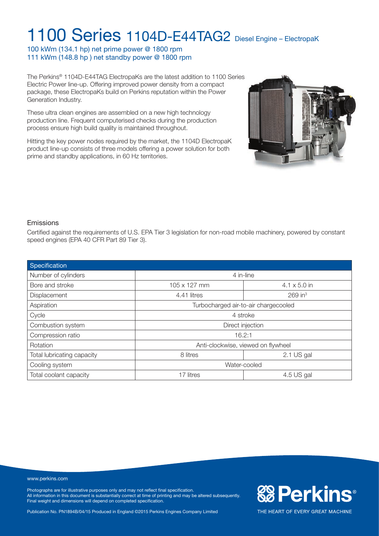100 kWm (134.1 hp) net prime power @ 1800 rpm 111 kWm (148.8 hp ) net standby power @ 1800 rpm

The Perkins® 1104D-E44TAG ElectropaKs are the latest addition to 1100 Series Electric Power line-up. Offering improved power density from a compact package, these ElectropaKs build on Perkins reputation within the Power Generation Industry.

These ultra clean engines are assembled on a new high technology production line. Frequent computerised checks during the production process ensure high build quality is maintained throughout.

Hitting the key power nodes required by the market, the 1104D ElectropaK product line-up consists of three models offering a power solution for both prime and standby applications, in 60 Hz territories.



**&Perkins®** 

THE HEART OF EVERY GREAT MACHINE

### Emissions

Certified against the requirements of U.S. EPA Tier 3 legislation for non-road mobile machinery, powered by constant speed engines (EPA 40 CFR Part 89 Tier 3).

| Specification              |                                      |                       |  |  |
|----------------------------|--------------------------------------|-----------------------|--|--|
| Number of cylinders        | 4 in-line                            |                       |  |  |
| Bore and stroke            | 105 x 127 mm                         | $4.1 \times 5.0$ in   |  |  |
| Displacement               | 4.41 litres                          | $269$ in <sup>3</sup> |  |  |
| Aspiration                 | Turbocharged air-to-air chargecooled |                       |  |  |
| Cycle                      | 4 stroke                             |                       |  |  |
| Combustion system          | Direct injection                     |                       |  |  |
| Compression ratio          | 16.2:1                               |                       |  |  |
| Rotation                   | Anti-clockwise, viewed on flywheel   |                       |  |  |
| Total lubricating capacity | 8 litres                             | 2.1 US gal            |  |  |
| Cooling system             | Water-cooled                         |                       |  |  |
| Total coolant capacity     | 17 litres<br>4.5 US gal              |                       |  |  |

#### www.perkins.com

Photographs are for illustrative purposes only and may not reflect final specification. All information in this document is substantially correct at time of printing and may be altered subsequently. Final weight and dimensions will depend on completed specification.

Publication No. PN1894B/04/15 Produced in England ©2015 Perkins Engines Company Limited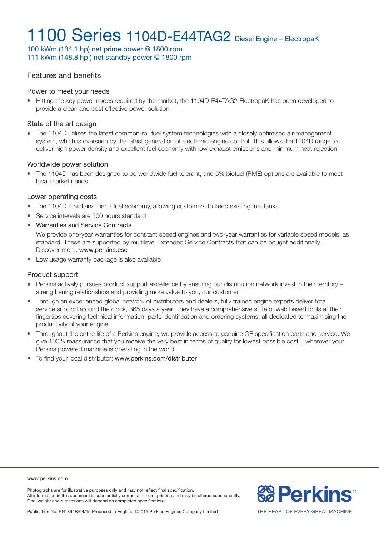100 kWm (134.1 hp) net prime power @ 1800 rpm 111 kWm (148.8 hp ) net standby power @ 1800 rpm

### Features and benefits

#### Power to meet your needs

• Hitting the key power nodes required by the market, the 1104D-E44TAG2 ElectropaK has been developed to provide a clean and cost effective power solution

#### State of the art design

• The 1104D utilises the latest common-rail fuel system technologies with a closely optimised air-management system, which is overseen by the latest generation of electronic engine control. This allows the 1104D range to deliver high power density and excellent fuel economy with low exhaust emissions and minimum heat rejection

#### Worldwide power solution

<sup>l</sup> The 1104D has been designed to be worldwide fuel tolerant, and 5% biofuel (RME) options are available to meet local market needs

#### Lower operating costs

- The 1104D maintains Tier 2 fuel economy, allowing customers to keep existing fuel tanks
- Service intervals are 500 hours standard
- Warranties and Service Contracts

We provide one-year warranties for constant speed engines and two-year warranties for variable speed models, as standard. These are supported by multilevel Extended Service Contracts that can be bought additionally. Discover more: www.perkins.esc

• Low usage warranty package is also available

#### Product support

- Perkins actively pursues product support excellence by ensuring our distribution network invest in their territory strengthening relationships and providing more value to you, our customer
- Through an experienced global network of distributors and dealers, fully trained engine experts deliver total service support around the clock, 365 days a year. They have a comprehensive suite of web based tools at their fingertips covering technical information, parts identification and ordering systems, all dedicated to maximising the productivity of your engine
- Throughout the entire life of a Perkins engine, we provide access to genuine OE specification parts and service. We give 100% reassurance that you receive the very best in terms of quality for lowest possible cost .. wherever your Perkins powered machine is operating in the world
- $\bullet$  To find your local distributor: www.perkins.com/distributor

#### www.perkins.com

Photographs are for illustrative purposes only and may not reflect final specification. All information in this document is substantially correct at time of printing and may be altered subsequently. Final weight and dimensions will depend on completed specification.



Publication No. PN1894B/04/15 Produced in England ©2015 Perkins Engines Company Limited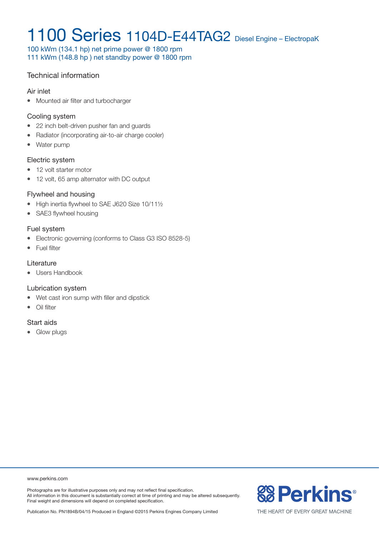100 kWm (134.1 hp) net prime power @ 1800 rpm 111 kWm (148.8 hp ) net standby power @ 1800 rpm

### Technical information

#### Air inlet

• Mounted air filter and turbocharger

#### Cooling system

- 22 inch belt-driven pusher fan and guards
- Radiator (incorporating air-to-air charge cooler)
- Water pump

#### Electric system

- 12 volt starter motor
- 12 volt, 65 amp alternator with DC output

### Flywheel and housing

- $\bullet$  High inertia flywheel to SAE J620 Size 10/111/2
- SAE3 flywheel housing

### Fuel system

- Electronic governing (conforms to Class G3 ISO 8528-5)
- Fuel filter

### **Literature**

• Users Handbook

### Lubrication system

- Wet cast iron sump with filler and dipstick
- $\bullet$  Oil filter

### Start aids

• Glow plugs

www.perkins.com

Photographs are for illustrative purposes only and may not reflect final specification. All information in this document is substantially correct at time of printing and may be altered subsequently. Final weight and dimensions will depend on completed specification.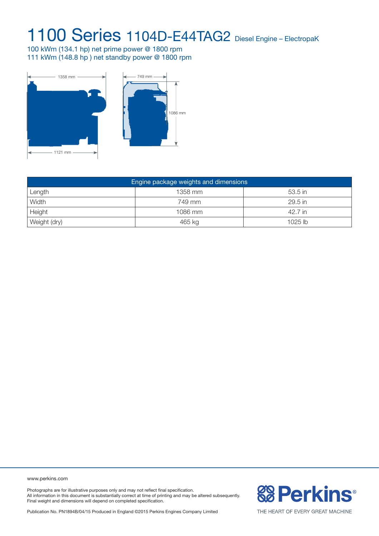100 kWm (134.1 hp) net prime power @ 1800 rpm 111 kWm (148.8 hp ) net standby power @ 1800 rpm



| Engine package weights and dimensions |         |           |  |  |  |
|---------------------------------------|---------|-----------|--|--|--|
| Length                                | 1358 mm | 53.5 in   |  |  |  |
| Width                                 | 749 mm  | 29.5 in   |  |  |  |
| Height                                | 1086 mm | 42.7 in   |  |  |  |
| Weight (dry)                          | 465 kg  | $1025$ lb |  |  |  |

www.perkins.com

Photographs are for illustrative purposes only and may not reflect final specification. All information in this document is substantially correct at time of printing and may be altered subsequently. Final weight and dimensions will depend on completed specification.

Publication No. PN1894B/04/15 Produced in England ©2015 Perkins Engines Company Limited